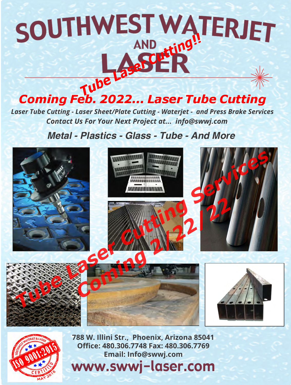## **THWEST WATERJET**

*Coming Feb. 2022... Laser Tube Cutting*

*Laser Tube Cutting - Laser Sheet/Plate Cutting - Waterjet - and Press Brake Services Contact Us For Your Next Project at... info@swwj.com*

*Metal - Plastics - Glass - Tube - And More*





**788 W. Illini Str., Phoenix, Arizona 85041 Office: 480.306.7748 Fax: 480.306.7769 Email: Info@swwj.com**

www.swwj-laser.com